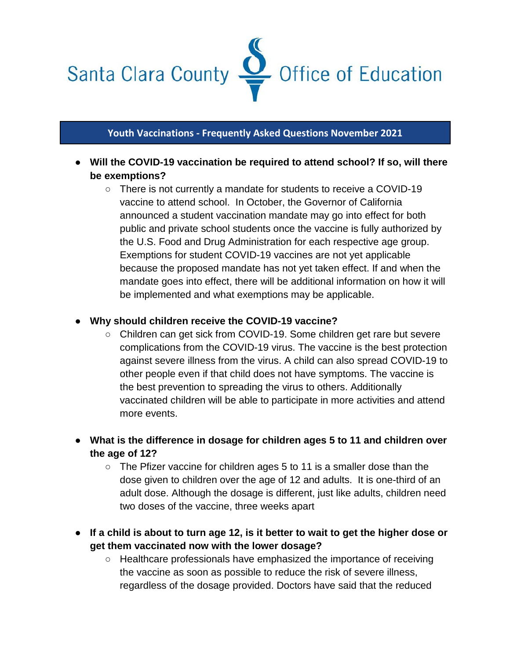

## **Youth Vaccinations - Frequently Asked Questions November 2021**

- **Will the COVID-19 vaccination be required to attend school? If so, will there be exemptions?** 
	- There is not currently a mandate for students to receive a COVID-19 vaccine to attend school. In October, the Governor of California announced a student vaccination mandate may go into effect for both public and private school students once the vaccine is fully authorized by the U.S. Food and Drug Administration for each respective age group. Exemptions for student COVID-19 vaccines are not yet applicable because the proposed mandate has not yet taken effect. If and when the mandate goes into effect, there will be additional information on how it will be implemented and what exemptions may be applicable.

## ● **Why should children receive the COVID-19 vaccine?**

- Children can get sick from COVID-19. Some children get rare but severe complications from the COVID-19 virus. The vaccine is the best protection against severe illness from the virus. A child can also spread COVID-19 to other people even if that child does not have symptoms. The vaccine is the best prevention to spreading the virus to others. Additionally vaccinated children will be able to participate in more activities and attend more events.
- **What is the difference in dosage for children ages 5 to 11 and children over the age of 12?**
	- The Pfizer vaccine for children ages 5 to 11 is a smaller dose than the dose given to children over the age of 12 and adults. It is one-third of an adult dose. Although the dosage is different, just like adults, children need two doses of the vaccine, three weeks apart
- **If a child is about to turn age 12, is it better to wait to get the higher dose or get them vaccinated now with the lower dosage?** 
	- Healthcare professionals have emphasized the importance of receiving the vaccine as soon as possible to reduce the risk of severe illness, regardless of the dosage provided. Doctors have said that the reduced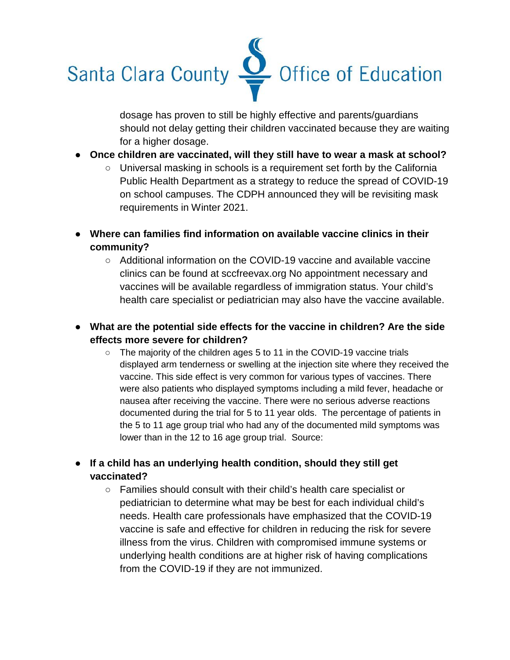

dosage has proven to still be highly effective and parents/guardians should not delay getting their children vaccinated because they are waiting for a higher dosage.

- **Once children are vaccinated, will they still have to wear a mask at school?**
	- $\circ$  Universal masking in schools is a requirement set forth by the California Public Health Department as a strategy to reduce the spread of COVID-19 on school campuses. The CDPH announced they will be revisiting mask requirements in Winter 2021.
- **Where can families find information on available vaccine clinics in their community?**
	- Additional information on the COVID-19 vaccine and available vaccine clinics can be found at sccfreevax.org No appointment necessary and vaccines will be available regardless of immigration status. Your child's health care specialist or pediatrician may also have the vaccine available.
- **What are the potential side effects for the vaccine in children? Are the side effects more severe for children?** 
	- The majority of the children ages 5 to 11 in the COVID-19 vaccine trials displayed arm tenderness or swelling at the injection site where they received the vaccine. This side effect is very common for various types of vaccines. There were also patients who displayed symptoms including a mild fever, headache or nausea after receiving the vaccine. There were no serious adverse reactions documented during the trial for 5 to 11 year olds. The percentage of patients in the 5 to 11 age group trial who had any of the documented mild symptoms was lower than in the 12 to 16 age group trial. Source:
- **If a child has an underlying health condition, should they still get vaccinated?** 
	- Families should consult with their child's health care specialist or pediatrician to determine what may be best for each individual child's needs. Health care professionals have emphasized that the COVID-19 vaccine is safe and effective for children in reducing the risk for severe illness from the virus. Children with compromised immune systems or underlying health conditions are at higher risk of having complications from the COVID-19 if they are not immunized.